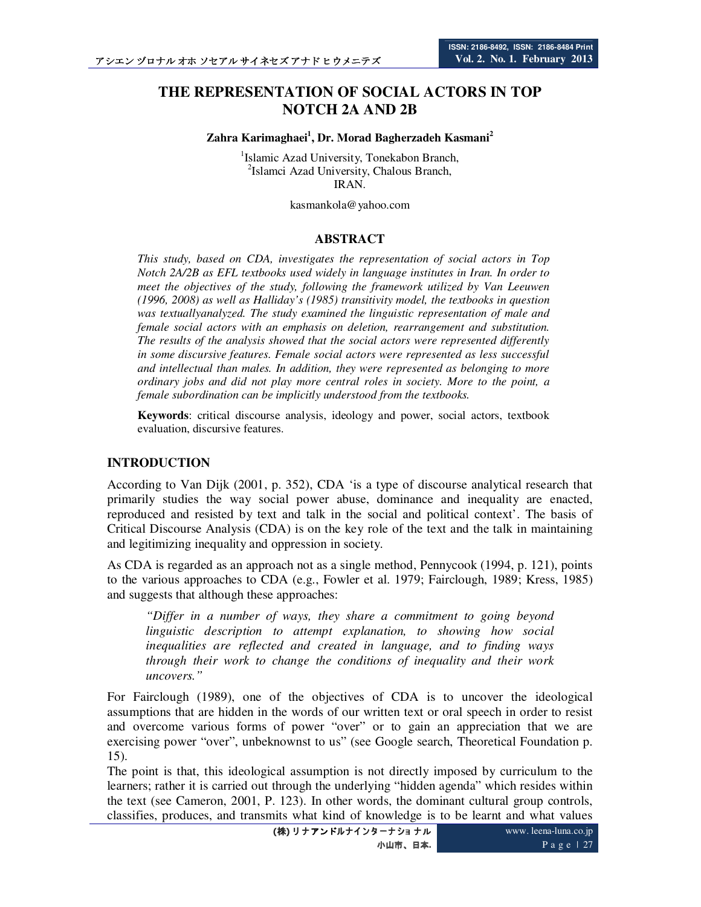# **THE REPRESENTATION OF SOCIAL ACTORS IN TOP NOTCH 2A AND 2B**

**Zahra Karimaghaei<sup>1</sup> , Dr. Morad Bagherzadeh Kasmani<sup>2</sup>**

1 Islamic Azad University, Tonekabon Branch, <sup>2</sup>Islamci Azad University, Chalous Branch, IRAN.

kasmankola@yahoo.com

#### **ABSTRACT**

*This study, based on CDA, investigates the representation of social actors in Top Notch 2A/2B as EFL textbooks used widely in language institutes in Iran. In order to meet the objectives of the study, following the framework utilized by Van Leeuwen (1996, 2008) as well as Halliday's (1985) transitivity model, the textbooks in question was textuallyanalyzed. The study examined the linguistic representation of male and female social actors with an emphasis on deletion, rearrangement and substitution. The results of the analysis showed that the social actors were represented differently in some discursive features. Female social actors were represented as less successful and intellectual than males. In addition, they were represented as belonging to more ordinary jobs and did not play more central roles in society. More to the point, a female subordination can be implicitly understood from the textbooks.* 

**Keywords**: critical discourse analysis, ideology and power, social actors, textbook evaluation, discursive features.

#### **INTRODUCTION**

According to Van Dijk (2001, p. 352), CDA 'is a type of discourse analytical research that primarily studies the way social power abuse, dominance and inequality are enacted, reproduced and resisted by text and talk in the social and political context'. The basis of Critical Discourse Analysis (CDA) is on the key role of the text and the talk in maintaining and legitimizing inequality and oppression in society.

As CDA is regarded as an approach not as a single method, Pennycook (1994, p. 121), points to the various approaches to CDA (e.g., Fowler et al. 1979; Fairclough, 1989; Kress, 1985) and suggests that although these approaches:

*"Differ in a number of ways, they share a commitment to going beyond linguistic description to attempt explanation, to showing how social inequalities are reflected and created in language, and to finding ways through their work to change the conditions of inequality and their work uncovers."* 

For Fairclough (1989), one of the objectives of CDA is to uncover the ideological assumptions that are hidden in the words of our written text or oral speech in order to resist and overcome various forms of power "over" or to gain an appreciation that we are exercising power "over", unbeknownst to us" (see Google search, Theoretical Foundation p. 15).

The point is that, this ideological assumption is not directly imposed by curriculum to the learners; rather it is carried out through the underlying "hidden agenda" which resides within the text (see Cameron, 2001, P. 123). In other words, the dominant cultural group controls, classifies, produces, and transmits what kind of knowledge is to be learnt and what values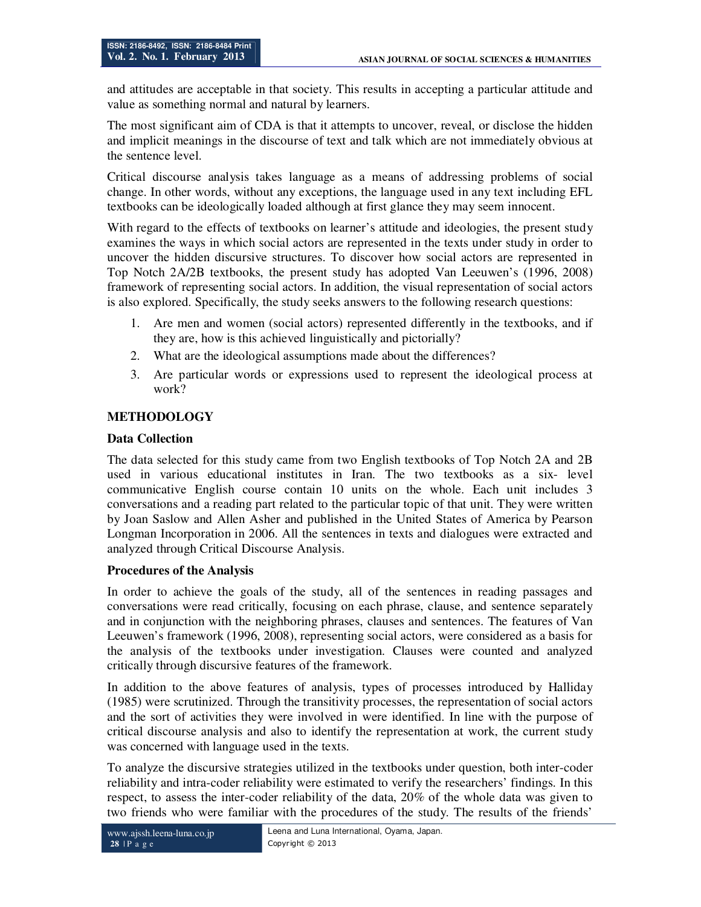and attitudes are acceptable in that society. This results in accepting a particular attitude and value as something normal and natural by learners.

The most significant aim of CDA is that it attempts to uncover, reveal, or disclose the hidden and implicit meanings in the discourse of text and talk which are not immediately obvious at the sentence level.

Critical discourse analysis takes language as a means of addressing problems of social change. In other words, without any exceptions, the language used in any text including EFL textbooks can be ideologically loaded although at first glance they may seem innocent.

With regard to the effects of textbooks on learner's attitude and ideologies, the present study examines the ways in which social actors are represented in the texts under study in order to uncover the hidden discursive structures. To discover how social actors are represented in Top Notch 2A/2B textbooks, the present study has adopted Van Leeuwen's (1996, 2008) framework of representing social actors. In addition, the visual representation of social actors is also explored. Specifically, the study seeks answers to the following research questions:

- 1. Are men and women (social actors) represented differently in the textbooks, and if they are, how is this achieved linguistically and pictorially?
- 2. What are the ideological assumptions made about the differences?
- 3. Are particular words or expressions used to represent the ideological process at work?

### **METHODOLOGY**

#### **Data Collection**

The data selected for this study came from two English textbooks of Top Notch 2A and 2B used in various educational institutes in Iran. The two textbooks as a six- level communicative English course contain 10 units on the whole. Each unit includes 3 conversations and a reading part related to the particular topic of that unit. They were written by Joan Saslow and Allen Asher and published in the United States of America by Pearson Longman Incorporation in 2006. All the sentences in texts and dialogues were extracted and analyzed through Critical Discourse Analysis.

#### **Procedures of the Analysis**

In order to achieve the goals of the study, all of the sentences in reading passages and conversations were read critically, focusing on each phrase, clause, and sentence separately and in conjunction with the neighboring phrases, clauses and sentences. The features of Van Leeuwen's framework (1996, 2008), representing social actors, were considered as a basis for the analysis of the textbooks under investigation. Clauses were counted and analyzed critically through discursive features of the framework.

In addition to the above features of analysis, types of processes introduced by Halliday (1985) were scrutinized. Through the transitivity processes, the representation of social actors and the sort of activities they were involved in were identified. In line with the purpose of critical discourse analysis and also to identify the representation at work, the current study was concerned with language used in the texts.

To analyze the discursive strategies utilized in the textbooks under question, both inter-coder reliability and intra-coder reliability were estimated to verify the researchers' findings. In this respect, to assess the inter-coder reliability of the data, 20% of the whole data was given to two friends who were familiar with the procedures of the study. The results of the friends'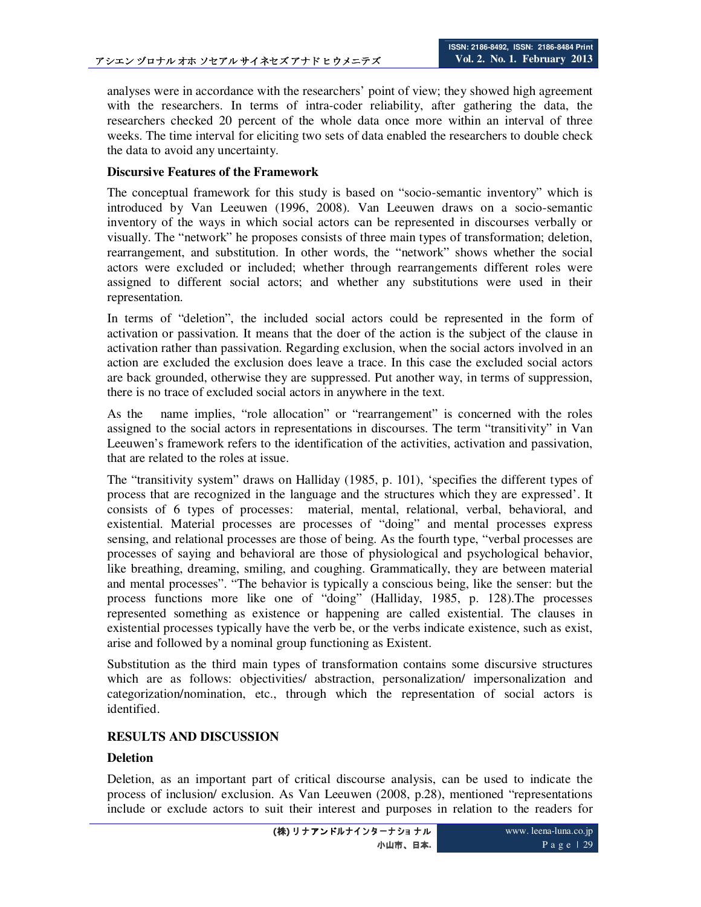analyses were in accordance with the researchers' point of view; they showed high agreement with the researchers. In terms of intra-coder reliability, after gathering the data, the researchers checked 20 percent of the whole data once more within an interval of three weeks. The time interval for eliciting two sets of data enabled the researchers to double check the data to avoid any uncertainty.

#### **Discursive Features of the Framework**

The conceptual framework for this study is based on "socio-semantic inventory" which is introduced by Van Leeuwen (1996, 2008). Van Leeuwen draws on a socio-semantic inventory of the ways in which social actors can be represented in discourses verbally or visually. The "network" he proposes consists of three main types of transformation; deletion, rearrangement, and substitution. In other words, the "network" shows whether the social actors were excluded or included; whether through rearrangements different roles were assigned to different social actors; and whether any substitutions were used in their representation.

In terms of "deletion", the included social actors could be represented in the form of activation or passivation. It means that the doer of the action is the subject of the clause in activation rather than passivation. Regarding exclusion, when the social actors involved in an action are excluded the exclusion does leave a trace. In this case the excluded social actors are back grounded, otherwise they are suppressed. Put another way, in terms of suppression, there is no trace of excluded social actors in anywhere in the text.

As the name implies, "role allocation" or "rearrangement" is concerned with the roles assigned to the social actors in representations in discourses. The term "transitivity" in Van Leeuwen's framework refers to the identification of the activities, activation and passivation, that are related to the roles at issue.

The "transitivity system" draws on Halliday (1985, p. 101), 'specifies the different types of process that are recognized in the language and the structures which they are expressed'. It consists of 6 types of processes: material, mental, relational, verbal, behavioral, and existential. Material processes are processes of "doing" and mental processes express sensing, and relational processes are those of being. As the fourth type, "verbal processes are processes of saying and behavioral are those of physiological and psychological behavior, like breathing, dreaming, smiling, and coughing. Grammatically, they are between material and mental processes". "The behavior is typically a conscious being, like the senser: but the process functions more like one of "doing" (Halliday, 1985, p. 128).The processes represented something as existence or happening are called existential. The clauses in existential processes typically have the verb be, or the verbs indicate existence, such as exist, arise and followed by a nominal group functioning as Existent.

Substitution as the third main types of transformation contains some discursive structures which are as follows: objectivities/ abstraction, personalization/ impersonalization and categorization/nomination, etc., through which the representation of social actors is identified.

## **RESULTS AND DISCUSSION**

#### **Deletion**

Deletion, as an important part of critical discourse analysis, can be used to indicate the process of inclusion/ exclusion. As Van Leeuwen (2008, p.28), mentioned "representations include or exclude actors to suit their interest and purposes in relation to the readers for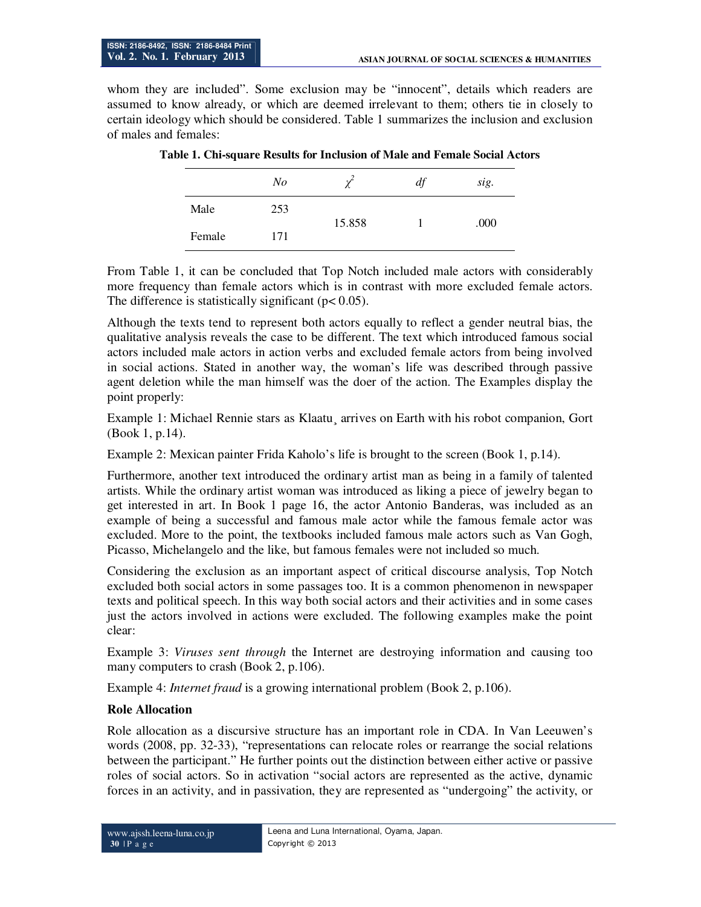whom they are included". Some exclusion may be "innocent", details which readers are assumed to know already, or which are deemed irrelevant to them; others tie in closely to certain ideology which should be considered. Table 1 summarizes the inclusion and exclusion of males and females:

|        | $N_{O}$ | $\mathcal{V}$ | df | sig. |
|--------|---------|---------------|----|------|
| Male   | 253     | 15.858        |    | .000 |
| Female | 171     |               |    |      |

**Table 1. Chi-square Results for Inclusion of Male and Female Social Actors** 

From Table 1, it can be concluded that Top Notch included male actors with considerably more frequency than female actors which is in contrast with more excluded female actors. The difference is statistically significant ( $p < 0.05$ ).

Although the texts tend to represent both actors equally to reflect a gender neutral bias, the qualitative analysis reveals the case to be different. The text which introduced famous social actors included male actors in action verbs and excluded female actors from being involved in social actions. Stated in another way, the woman's life was described through passive agent deletion while the man himself was the doer of the action. The Examples display the point properly:

Example 1: Michael Rennie stars as Klaatu¸ arrives on Earth with his robot companion, Gort (Book 1, p.14).

Example 2: Mexican painter Frida Kaholo's life is brought to the screen (Book 1, p.14).

Furthermore, another text introduced the ordinary artist man as being in a family of talented artists. While the ordinary artist woman was introduced as liking a piece of jewelry began to get interested in art. In Book 1 page 16, the actor Antonio Banderas, was included as an example of being a successful and famous male actor while the famous female actor was excluded. More to the point, the textbooks included famous male actors such as Van Gogh, Picasso, Michelangelo and the like, but famous females were not included so much.

Considering the exclusion as an important aspect of critical discourse analysis, Top Notch excluded both social actors in some passages too. It is a common phenomenon in newspaper texts and political speech. In this way both social actors and their activities and in some cases just the actors involved in actions were excluded. The following examples make the point clear:

Example 3: *Viruses sent through* the Internet are destroying information and causing too many computers to crash (Book 2, p.106).

Example 4: *Internet fraud* is a growing international problem (Book 2, p.106).

#### **Role Allocation**

Role allocation as a discursive structure has an important role in CDA. In Van Leeuwen's words (2008, pp. 32-33), "representations can relocate roles or rearrange the social relations between the participant." He further points out the distinction between either active or passive roles of social actors. So in activation "social actors are represented as the active, dynamic forces in an activity, and in passivation, they are represented as "undergoing" the activity, or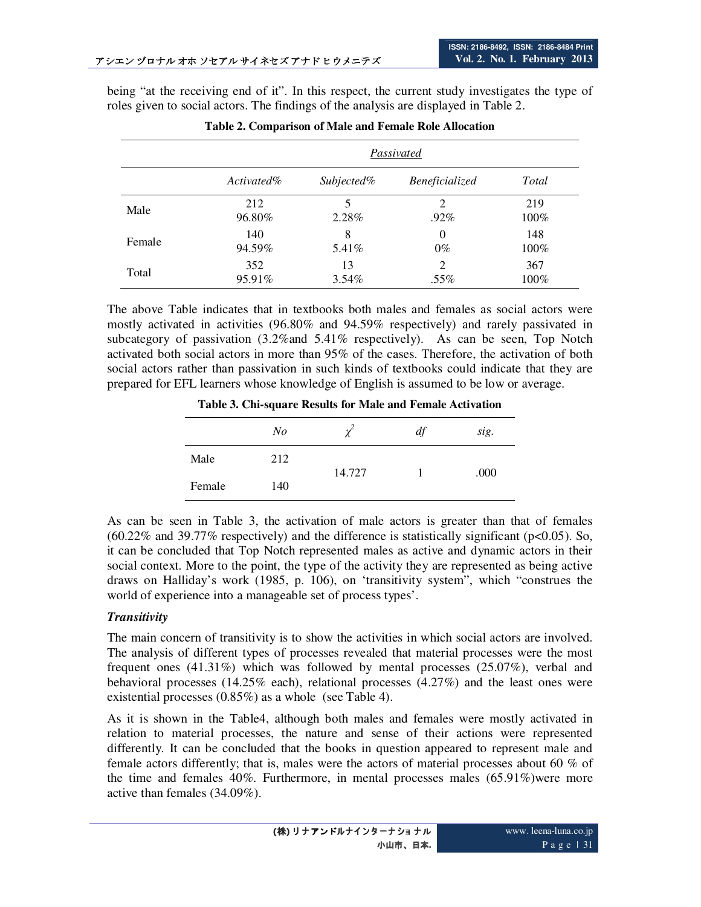being "at the receiving end of it". In this respect, the current study investigates the type of roles given to social actors. The findings of the analysis are displayed in Table 2.

|        |               | Passivated     |                   |                |  |  |  |
|--------|---------------|----------------|-------------------|----------------|--|--|--|
|        | $Activated\%$ | Subjected%     | Beneficialized    | Total          |  |  |  |
| Male   | 212<br>96.80% | 2.28%          | 2<br>.92%         | 219<br>$100\%$ |  |  |  |
| Female | 140<br>94.59% | 8<br>$5.41\%$  | $\theta$<br>$0\%$ | 148<br>$100\%$ |  |  |  |
| Total  | 352<br>95.91% | 13<br>$3.54\%$ | 2<br>.55%         | 367<br>$100\%$ |  |  |  |

| Table 2. Comparison of Male and Female Role Allocation |
|--------------------------------------------------------|
|--------------------------------------------------------|

The above Table indicates that in textbooks both males and females as social actors were mostly activated in activities (96.80% and 94.59% respectively) and rarely passivated in subcategory of passivation (3.2%and 5.41% respectively). As can be seen, Top Notch activated both social actors in more than 95% of the cases. Therefore, the activation of both social actors rather than passivation in such kinds of textbooks could indicate that they are prepared for EFL learners whose knowledge of English is assumed to be low or average.

**Table 3. Chi-square Results for Male and Female Activation** 

|        | $N_{O}$ | $\chi^2$ | df | sig. |
|--------|---------|----------|----|------|
| Male   | 212     |          |    | .000 |
| Female | 140     | 14.727   |    |      |

As can be seen in Table 3, the activation of male actors is greater than that of females  $(60.22\%$  and 39.77% respectively) and the difference is statistically significant (p<0.05). So, it can be concluded that Top Notch represented males as active and dynamic actors in their social context. More to the point, the type of the activity they are represented as being active draws on Halliday's work (1985, p. 106), on 'transitivity system", which "construes the world of experience into a manageable set of process types'.

#### *Transitivity*

The main concern of transitivity is to show the activities in which social actors are involved. The analysis of different types of processes revealed that material processes were the most frequent ones (41.31%) which was followed by mental processes (25.07%), verbal and behavioral processes (14.25% each), relational processes  $(4.27%)$  and the least ones were existential processes (0.85%) as a whole (see Table 4).

As it is shown in the Table4, although both males and females were mostly activated in relation to material processes, the nature and sense of their actions were represented differently. It can be concluded that the books in question appeared to represent male and female actors differently; that is, males were the actors of material processes about 60  $\%$  of the time and females 40%. Furthermore, in mental processes males (65.91%)were more active than females (34.09%).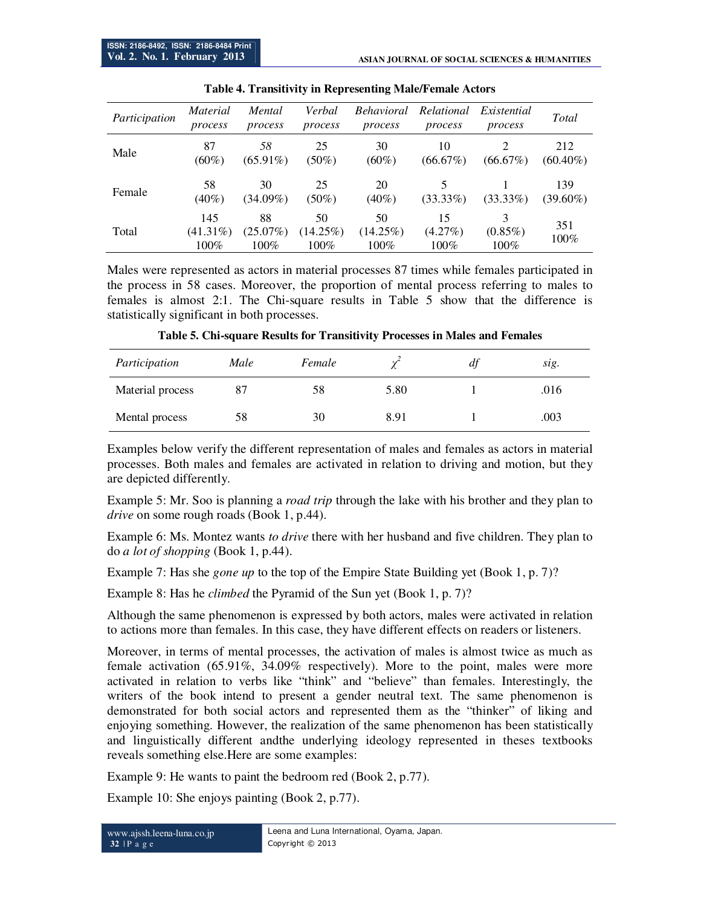| Participation | Material<br>process        | Mental<br>process            | Verbal<br>process         | <b>Behavioral</b><br>process | Relational<br>process       | Existential<br>process     | Total              |
|---------------|----------------------------|------------------------------|---------------------------|------------------------------|-----------------------------|----------------------------|--------------------|
| Male          | 87<br>$(60\%)$             | 58<br>$(65.91\%)$            | 25<br>$(50\%)$            | 30<br>$(60\%)$               | 10<br>$(66.67\%)$           | $(66.67\%)$                | 212<br>$(60.40\%)$ |
| Female        | 58<br>$(40\%)$             | 30<br>$(34.09\%)$            | 25<br>$(50\%)$            | 20<br>$(40\%)$               | $(33.33\%)$                 | $(33.33\%)$                | 139<br>$(39.60\%)$ |
| Total         | 145<br>$(41.31\%)$<br>100% | 88<br>$(25.07\%)$<br>$100\%$ | 50<br>(14.25%)<br>$100\%$ | 50<br>$(14.25\%)$<br>100%    | 15<br>$(4.27\%)$<br>$100\%$ | 3<br>$(0.85\%)$<br>$100\%$ | 351<br>100%        |

Males were represented as actors in material processes 87 times while females participated in the process in 58 cases. Moreover, the proportion of mental process referring to males to females is almost 2:1. The Chi-square results in Table 5 show that the difference is statistically significant in both processes.

| Participation    | Male | Female |      | df | sig. |
|------------------|------|--------|------|----|------|
| Material process | 87   | 58     | 5.80 |    | .016 |
| Mental process   | 58   | 30     | 8.91 |    | .003 |

**Table 5. Chi-square Results for Transitivity Processes in Males and Females** 

Examples below verify the different representation of males and females as actors in material processes. Both males and females are activated in relation to driving and motion, but they are depicted differently.

Example 5: Mr. Soo is planning a *road trip* through the lake with his brother and they plan to *drive* on some rough roads (Book 1, p.44).

Example 6: Ms. Montez wants *to drive* there with her husband and five children. They plan to do *a lot of shopping* (Book 1, p.44).

Example 7: Has she *gone up* to the top of the Empire State Building yet (Book 1, p. 7)?

Example 8: Has he *climbed* the Pyramid of the Sun yet (Book 1, p. 7)?

Although the same phenomenon is expressed by both actors, males were activated in relation to actions more than females. In this case, they have different effects on readers or listeners.

Moreover, in terms of mental processes, the activation of males is almost twice as much as female activation (65.91%, 34.09% respectively). More to the point, males were more activated in relation to verbs like "think" and "believe" than females. Interestingly, the writers of the book intend to present a gender neutral text. The same phenomenon is demonstrated for both social actors and represented them as the "thinker" of liking and enjoying something. However, the realization of the same phenomenon has been statistically and linguistically different andthe underlying ideology represented in theses textbooks reveals something else.Here are some examples:

Example 9: He wants to paint the bedroom red (Book 2, p.77).

Example 10: She enjoys painting (Book 2, p.77).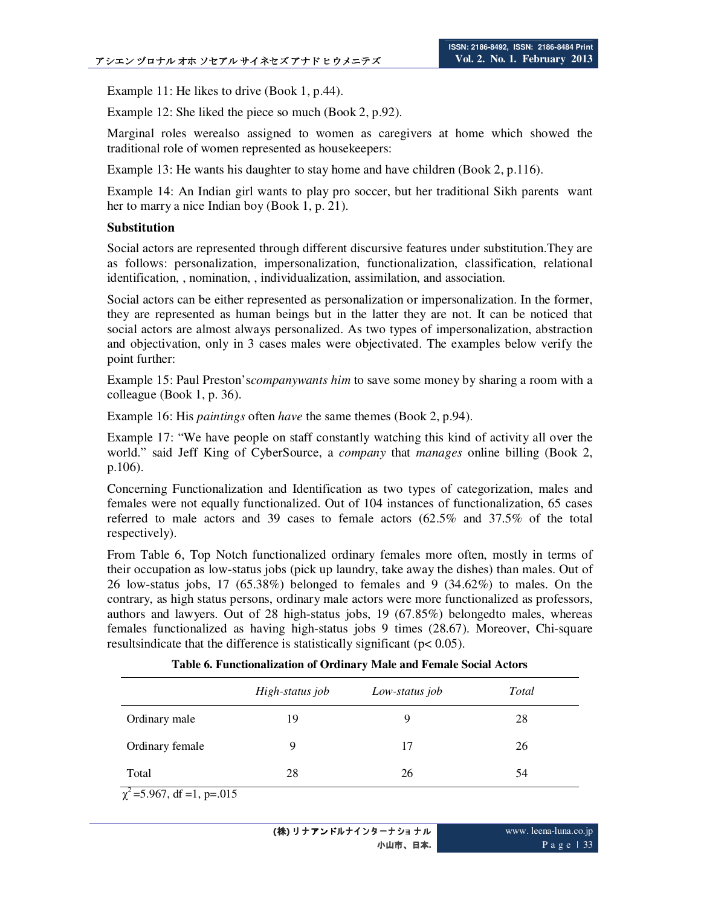Example 11: He likes to drive (Book 1, p.44).

Example 12: She liked the piece so much (Book 2, p.92).

Marginal roles werealso assigned to women as caregivers at home which showed the traditional role of women represented as housekeepers:

Example 13: He wants his daughter to stay home and have children (Book 2, p.116).

Example 14: An Indian girl wants to play pro soccer, but her traditional Sikh parents want her to marry a nice Indian boy (Book 1, p. 21).

#### **Substitution**

Social actors are represented through different discursive features under substitution.They are as follows: personalization, impersonalization, functionalization, classification, relational identification, , nomination, , individualization, assimilation, and association.

Social actors can be either represented as personalization or impersonalization. In the former, they are represented as human beings but in the latter they are not. It can be noticed that social actors are almost always personalized. As two types of impersonalization, abstraction and objectivation, only in 3 cases males were objectivated. The examples below verify the point further:

Example 15: Paul Preston's*companywants him* to save some money by sharing a room with a colleague (Book 1, p. 36).

Example 16: His *paintings* often *have* the same themes (Book 2, p.94).

Example 17: "We have people on staff constantly watching this kind of activity all over the world." said Jeff King of CyberSource, a *company* that *manages* online billing (Book 2, p.106).

Concerning Functionalization and Identification as two types of categorization, males and females were not equally functionalized. Out of 104 instances of functionalization, 65 cases referred to male actors and 39 cases to female actors (62.5% and 37.5% of the total respectively).

From Table 6, Top Notch functionalized ordinary females more often, mostly in terms of their occupation as low-status jobs (pick up laundry, take away the dishes) than males. Out of 26 low-status jobs, 17 (65.38%) belonged to females and 9 (34.62%) to males. On the contrary, as high status persons, ordinary male actors were more functionalized as professors, authors and lawyers. Out of 28 high-status jobs, 19 (67.85%) belongedto males, whereas females functionalized as having high-status jobs 9 times (28.67). Moreover, Chi-square resultsindicate that the difference is statistically significant (p< 0.05).

**Table 6. Functionalization of Ordinary Male and Female Social Actors**

|                 | High-status job | Low-status job | Total |
|-----------------|-----------------|----------------|-------|
| Ordinary male   | 19              | Q              | 28    |
| Ordinary female | 9               | 17             | 26    |
| Total           | 28              | 26             | 54    |

 $\chi^2$ =5.967, df =1, p=.015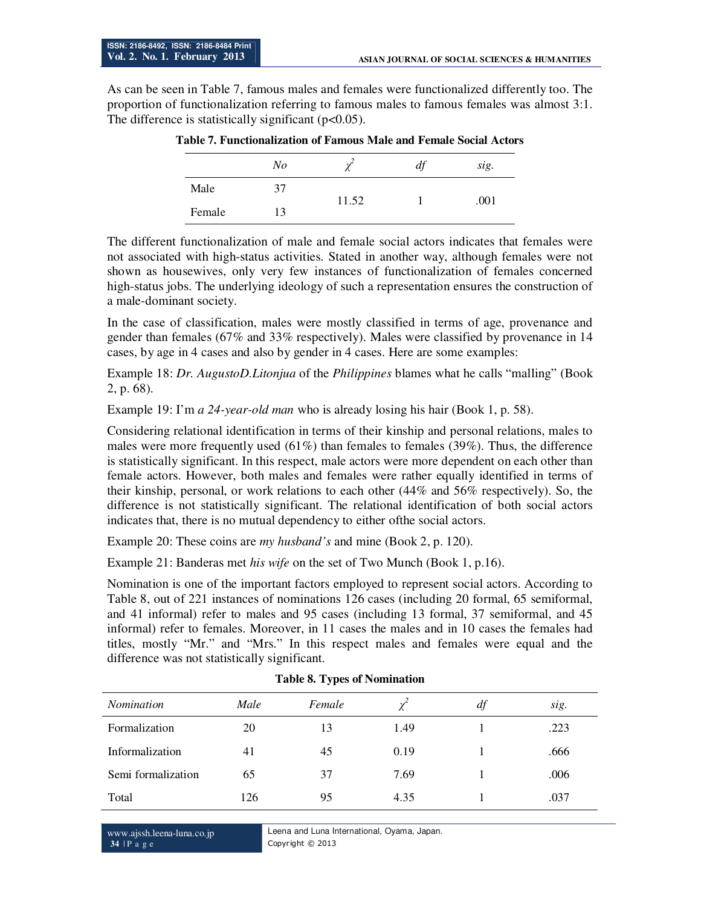As can be seen in Table 7, famous males and females were functionalized differently too. The proportion of functionalization referring to famous males to famous females was almost 3:1. The difference is statistically significant  $(p<0.05)$ .

|        |    | l abic 7. Functionalization of Famous Male and Female Social Actor |    |      |
|--------|----|--------------------------------------------------------------------|----|------|
|        | No |                                                                    | df | sig. |
| Male   | 37 | 11.52                                                              |    | .001 |
| Female | 13 |                                                                    |    |      |

**Table 7. Functionalization of Famous Male and Female Social Actors** 

The different functionalization of male and female social actors indicates that females were not associated with high-status activities. Stated in another way, although females were not shown as housewives, only very few instances of functionalization of females concerned high-status jobs. The underlying ideology of such a representation ensures the construction of a male-dominant society.

In the case of classification, males were mostly classified in terms of age, provenance and gender than females (67% and 33% respectively). Males were classified by provenance in 14 cases, by age in 4 cases and also by gender in 4 cases. Here are some examples:

Example 18: *Dr. AugustoD.Litonjua* of the *Philippines* blames what he calls "malling" (Book 2, p. 68).

Example 19: I'm *a 24-year-old man* who is already losing his hair (Book 1, p. 58).

Considering relational identification in terms of their kinship and personal relations, males to males were more frequently used  $(61\%)$  than females to females (39%). Thus, the difference is statistically significant. In this respect, male actors were more dependent on each other than female actors. However, both males and females were rather equally identified in terms of their kinship, personal, or work relations to each other (44% and 56% respectively). So, the difference is not statistically significant. The relational identification of both social actors indicates that, there is no mutual dependency to either ofthe social actors.

Example 20: These coins are *my husband's* and mine (Book 2, p. 120).

Example 21: Banderas met *his wife* on the set of Two Munch (Book 1, p.16).

Nomination is one of the important factors employed to represent social actors. According to Table 8, out of 221 instances of nominations 126 cases (including 20 formal, 65 semiformal, and 41 informal) refer to males and 95 cases (including 13 formal, 37 semiformal, and 45 informal) refer to females. Moreover, in 11 cases the males and in 10 cases the females had titles, mostly "Mr." and "Mrs." In this respect males and females were equal and the difference was not statistically significant.

| <i>Nomination</i>  | Male | Female | $\chi^2$ | df | sig. |
|--------------------|------|--------|----------|----|------|
| Formalization      | 20   | 13     | 1.49     |    | .223 |
| Informalization    | 41   | 45     | 0.19     |    | .666 |
| Semi formalization | 65   | 37     | 7.69     |    | .006 |
| Total              | 126  | 95     | 4.35     |    | .037 |

#### **Table 8. Types of Nomination**

www.ajssh.leena-luna.co.jp **34** | P a g e

Leena and Luna International, Oyama, Japan. Copyright © 2013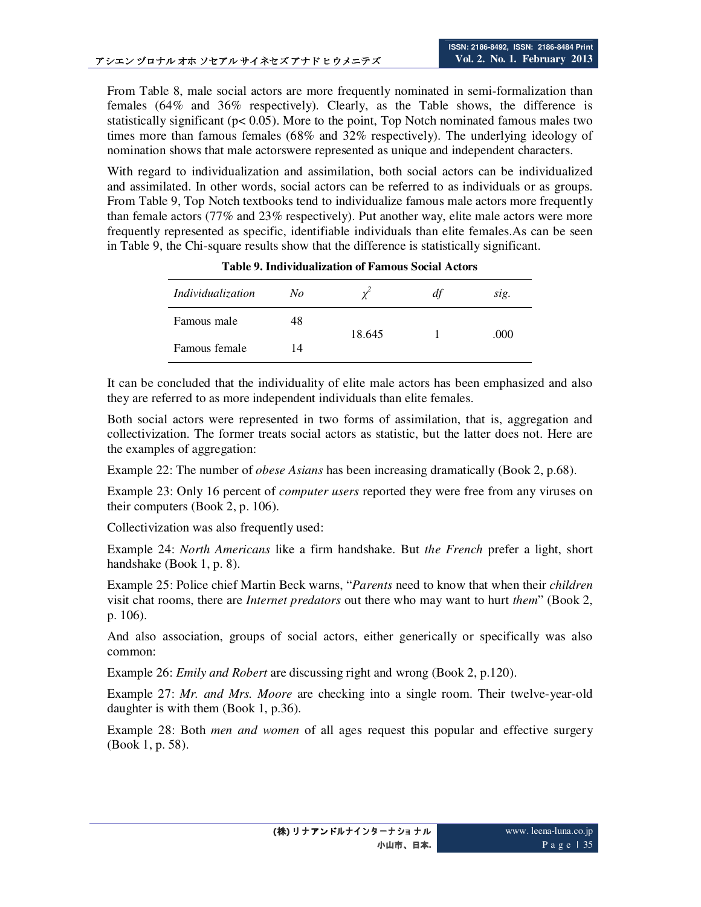From Table 8, male social actors are more frequently nominated in semi-formalization than females (64% and 36% respectively). Clearly, as the Table shows, the difference is statistically significant ( $p < 0.05$ ). More to the point, Top Notch nominated famous males two times more than famous females (68% and 32% respectively). The underlying ideology of nomination shows that male actorswere represented as unique and independent characters.

With regard to individualization and assimilation, both social actors can be individualized and assimilated. In other words, social actors can be referred to as individuals or as groups. From Table 9, Top Notch textbooks tend to individualize famous male actors more frequently than female actors (77% and 23% respectively). Put another way, elite male actors were more frequently represented as specific, identifiable individuals than elite females.As can be seen in Table 9, the Chi-square results show that the difference is statistically significant.

| Individualization | No |        | df | sig. |
|-------------------|----|--------|----|------|
| Famous male       | 48 | 18.645 |    | .000 |
| Famous female     | 14 |        |    |      |

**Table 9. Individualization of Famous Social Actors** 

It can be concluded that the individuality of elite male actors has been emphasized and also they are referred to as more independent individuals than elite females.

Both social actors were represented in two forms of assimilation, that is, aggregation and collectivization. The former treats social actors as statistic, but the latter does not. Here are the examples of aggregation:

Example 22: The number of *obese Asians* has been increasing dramatically (Book 2, p.68).

Example 23: Only 16 percent of *computer users* reported they were free from any viruses on their computers (Book 2, p. 106).

Collectivization was also frequently used:

Example 24: *North Americans* like a firm handshake. But *the French* prefer a light, short handshake (Book 1, p. 8).

Example 25: Police chief Martin Beck warns, "*Parents* need to know that when their *children*  visit chat rooms, there are *Internet predators* out there who may want to hurt *them*" (Book 2, p. 106).

And also association, groups of social actors, either generically or specifically was also common:

Example 26: *Emily and Robert* are discussing right and wrong (Book 2, p.120).

Example 27: *Mr. and Mrs. Moore* are checking into a single room. Their twelve-year-old daughter is with them (Book 1, p.36).

Example 28: Both *men and women* of all ages request this popular and effective surgery (Book 1, p. 58).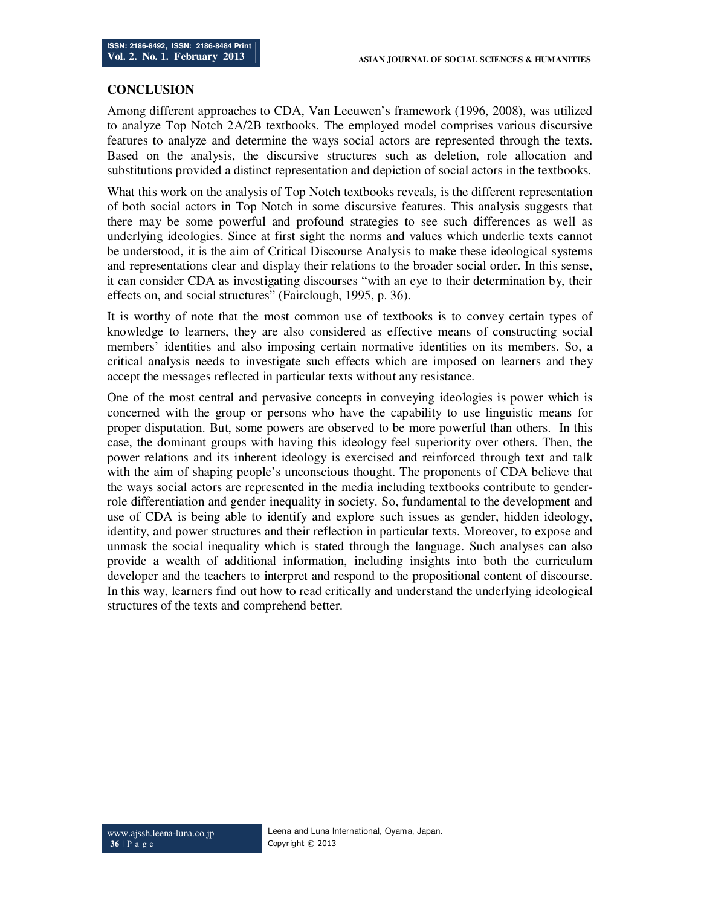#### **CONCLUSION**

Among different approaches to CDA, Van Leeuwen's framework (1996, 2008), was utilized to analyze Top Notch 2A/2B textbooks. The employed model comprises various discursive features to analyze and determine the ways social actors are represented through the texts. Based on the analysis, the discursive structures such as deletion, role allocation and substitutions provided a distinct representation and depiction of social actors in the textbooks.

What this work on the analysis of Top Notch textbooks reveals, is the different representation of both social actors in Top Notch in some discursive features. This analysis suggests that there may be some powerful and profound strategies to see such differences as well as underlying ideologies. Since at first sight the norms and values which underlie texts cannot be understood, it is the aim of Critical Discourse Analysis to make these ideological systems and representations clear and display their relations to the broader social order. In this sense, it can consider CDA as investigating discourses "with an eye to their determination by, their effects on, and social structures" (Fairclough, 1995, p. 36).

It is worthy of note that the most common use of textbooks is to convey certain types of knowledge to learners, they are also considered as effective means of constructing social members' identities and also imposing certain normative identities on its members. So, a critical analysis needs to investigate such effects which are imposed on learners and they accept the messages reflected in particular texts without any resistance.

One of the most central and pervasive concepts in conveying ideologies is power which is concerned with the group or persons who have the capability to use linguistic means for proper disputation. But, some powers are observed to be more powerful than others. In this case, the dominant groups with having this ideology feel superiority over others. Then, the power relations and its inherent ideology is exercised and reinforced through text and talk with the aim of shaping people's unconscious thought. The proponents of CDA believe that the ways social actors are represented in the media including textbooks contribute to genderrole differentiation and gender inequality in society. So, fundamental to the development and use of CDA is being able to identify and explore such issues as gender, hidden ideology, identity, and power structures and their reflection in particular texts. Moreover, to expose and unmask the social inequality which is stated through the language. Such analyses can also provide a wealth of additional information, including insights into both the curriculum developer and the teachers to interpret and respond to the propositional content of discourse. In this way, learners find out how to read critically and understand the underlying ideological structures of the texts and comprehend better.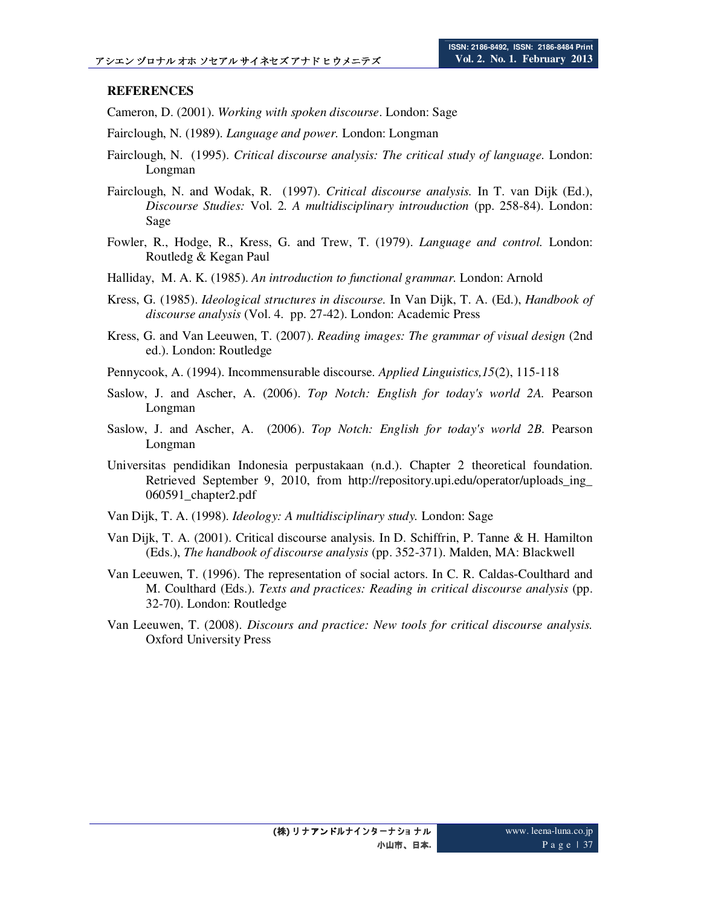## **REFERENCES**

Cameron, D. (2001). *Working with spoken discourse*. London: Sage

- Fairclough, N. (1989). *Language and power.* London: Longman
- Fairclough, N. (1995). *Critical discourse analysis: The critical study of language.* London: Longman
- Fairclough, N. and Wodak, R. (1997). *Critical discourse analysis.* In T. van Dijk (Ed.), *Discourse Studies:* Vol. 2*. A multidisciplinary introuduction* (pp. 258-84). London: Sage
- Fowler, R., Hodge, R., Kress, G. and Trew, T. (1979). *Language and control.* London: Routledg & Kegan Paul
- Halliday, M. A. K. (1985). *An introduction to functional grammar.* London: Arnold
- Kress, G. (1985). *Ideological structures in discourse.* In Van Dijk, T. A. (Ed.), *Handbook of discourse analysis* (Vol. 4*.* pp. 27-42). London: Academic Press
- Kress, G. and Van Leeuwen, T. (2007). *Reading images: The grammar of visual design* (2nd ed.). London: Routledge
- Pennycook, A. (1994). Incommensurable discourse. *Applied Linguistics,15*(2), 115-118
- Saslow, J. and Ascher, A. (2006). *Top Notch: English for today's world 2A.* Pearson Longman
- Saslow, J. and Ascher, A. (2006). *Top Notch: English for today's world 2B.* Pearson Longman
- Universitas pendidikan Indonesia perpustakaan (n.d.). Chapter 2 theoretical foundation. Retrieved September 9, 2010, from http://repository.upi.edu/operator/uploads\_ing\_ 060591\_chapter2.pdf
- Van Dijk, T. A. (1998). *Ideology: A multidisciplinary study.* London: Sage
- Van Dijk, T. A. (2001). Critical discourse analysis. In D. Schiffrin, P. Tanne & H. Hamilton (Eds.), *The handbook of discourse analysis* (pp. 352-371). Malden, MA: Blackwell
- Van Leeuwen, T. (1996). The representation of social actors. In C. R. Caldas-Coulthard and M. Coulthard (Eds.). *Texts and practices: Reading in critical discourse analysis* (pp. 32-70). London: Routledge
- Van Leeuwen, T. (2008). *Discours and practice: New tools for critical discourse analysis.* Oxford University Press